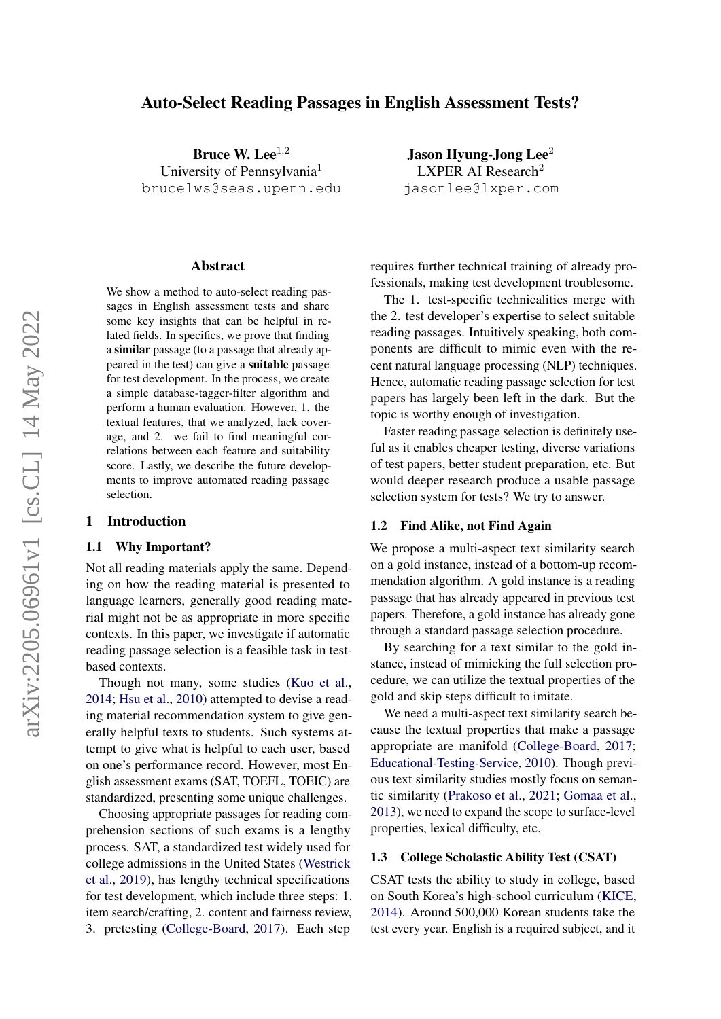# Auto-Select Reading Passages in English Assessment Tests?

Bruce W. Lee $^{1,2}$ University of Pennsylvania<sup>1</sup> brucelws@seas.upenn.edu

#### Abstract

We show a method to auto-select reading passages in English assessment tests and share some key insights that can be helpful in related fields. In specifics, we prove that finding a similar passage (to a passage that already appeared in the test) can give a suitable passage for test development. In the process, we create a simple database-tagger-filter algorithm and perform a human evaluation. However, 1. the textual features, that we analyzed, lack coverage, and 2. we fail to find meaningful correlations between each feature and suitability score. Lastly, we describe the future developments to improve automated reading passage selection.

### 1 Introduction

### 1.1 Why Important?

Not all reading materials apply the same. Depending on how the reading material is presented to language learners, generally good reading material might not be as appropriate in more specific contexts. In this paper, we investigate if automatic reading passage selection is a feasible task in testbased contexts.

Though not many, some studies [\(Kuo et al.,](#page-4-0) [2014;](#page-4-0) [Hsu et al.,](#page-4-1) [2010\)](#page-4-1) attempted to devise a reading material recommendation system to give generally helpful texts to students. Such systems attempt to give what is helpful to each user, based on one's performance record. However, most English assessment exams (SAT, TOEFL, TOEIC) are standardized, presenting some unique challenges.

Choosing appropriate passages for reading comprehension sections of such exams is a lengthy process. SAT, a standardized test widely used for college admissions in the United States [\(Westrick](#page-4-2) [et al.,](#page-4-2) [2019\)](#page-4-2), has lengthy technical specifications for test development, which include three steps: 1. item search/crafting, 2. content and fairness review, 3. pretesting [\(College-Board,](#page-4-3) [2017\)](#page-4-3). Each step

Jason Hyung-Jong Lee $2$ LXPER AI Research<sup>2</sup> jasonlee@lxper.com

requires further technical training of already professionals, making test development troublesome.

The 1. test-specific technicalities merge with the 2. test developer's expertise to select suitable reading passages. Intuitively speaking, both components are difficult to mimic even with the recent natural language processing (NLP) techniques. Hence, automatic reading passage selection for test papers has largely been left in the dark. But the topic is worthy enough of investigation.

Faster reading passage selection is definitely useful as it enables cheaper testing, diverse variations of test papers, better student preparation, etc. But would deeper research produce a usable passage selection system for tests? We try to answer.

### 1.2 Find Alike, not Find Again

We propose a multi-aspect text similarity search on a gold instance, instead of a bottom-up recommendation algorithm. A gold instance is a reading passage that has already appeared in previous test papers. Therefore, a gold instance has already gone through a standard passage selection procedure.

By searching for a text similar to the gold instance, instead of mimicking the full selection procedure, we can utilize the textual properties of the gold and skip steps difficult to imitate.

We need a multi-aspect text similarity search because the textual properties that make a passage appropriate are manifold [\(College-Board,](#page-4-3) [2017;](#page-4-3) [Educational-Testing-Service,](#page-4-4) [2010\)](#page-4-4). Though previous text similarity studies mostly focus on semantic similarity [\(Prakoso et al.,](#page-4-5) [2021;](#page-4-5) [Gomaa et al.,](#page-4-6) [2013\)](#page-4-6), we need to expand the scope to surface-level properties, lexical difficulty, etc.

# 1.3 College Scholastic Ability Test (CSAT)

CSAT tests the ability to study in college, based on South Korea's high-school curriculum [\(KICE,](#page-4-7) [2014\)](#page-4-7). Around 500,000 Korean students take the test every year. English is a required subject, and it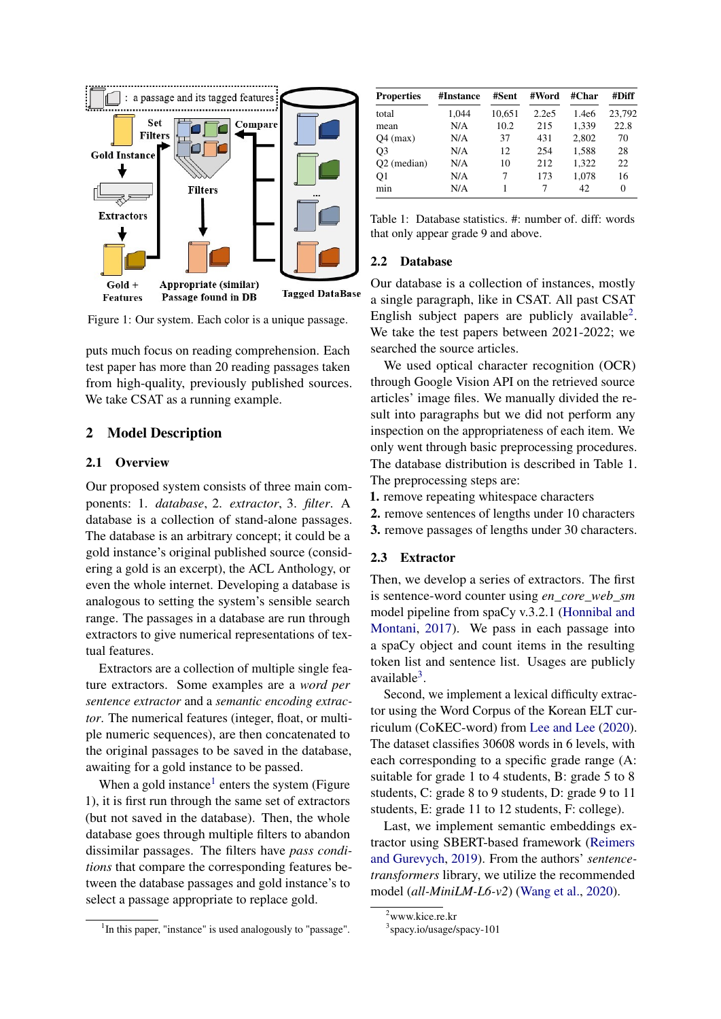

Figure 1: Our system. Each color is a unique passage.

puts much focus on reading comprehension. Each test paper has more than 20 reading passages taken from high-quality, previously published sources. We take CSAT as a running example.

# 2 Model Description

### 2.1 Overview

Our proposed system consists of three main components: 1. *database*, 2. *extractor*, 3. *filter*. A database is a collection of stand-alone passages. The database is an arbitrary concept; it could be a gold instance's original published source (considering a gold is an excerpt), the ACL Anthology, or even the whole internet. Developing a database is analogous to setting the system's sensible search range. The passages in a database are run through extractors to give numerical representations of textual features.

Extractors are a collection of multiple single feature extractors. Some examples are a *word per sentence extractor* and a *semantic encoding extractor*. The numerical features (integer, float, or multiple numeric sequences), are then concatenated to the original passages to be saved in the database, awaiting for a gold instance to be passed.

When a gold instance<sup>[1](#page-1-0)</sup> enters the system (Figure 1), it is first run through the same set of extractors (but not saved in the database). Then, the whole database goes through multiple filters to abandon dissimilar passages. The filters have *pass conditions* that compare the corresponding features between the database passages and gold instance's to select a passage appropriate to replace gold.

<span id="page-1-0"></span>

| <sup>1</sup> In this paper, "instance" is used analogously to "passage". |  |  |  |  |  |  |
|--------------------------------------------------------------------------|--|--|--|--|--|--|
|--------------------------------------------------------------------------|--|--|--|--|--|--|

| <b>Properties</b> | #Instance | #Sent  | #Word             | #Char | #Diff    |
|-------------------|-----------|--------|-------------------|-------|----------|
| total             | 1.044     | 10,651 | 2.2e <sub>5</sub> | 1.4e6 | 23,792   |
| mean              | N/A       | 10.2   | 215               | 1,339 | 22.8     |
| $Q4$ (max)        | N/A       | 37     | 431               | 2.802 | 70       |
| O3                | N/A       | 12     | 254               | 1,588 | 28       |
| $O2$ (median)     | N/A       | 10     | 212               | 1,322 | 22       |
| O1                | N/A       | 7      | 173               | 1.078 | 16       |
| mnn               | N/A       |        | 7                 | 42.   | $\Omega$ |

Table 1: Database statistics. #: number of. diff: words that only appear grade 9 and above.

### 2.2 Database

Our database is a collection of instances, mostly a single paragraph, like in CSAT. All past CSAT English subject papers are publicly available<sup>[2](#page-1-1)</sup>. We take the test papers between 2021-2022; we searched the source articles.

We used optical character recognition (OCR) through Google Vision API on the retrieved source articles' image files. We manually divided the result into paragraphs but we did not perform any inspection on the appropriateness of each item. We only went through basic preprocessing procedures. The database distribution is described in Table 1. The preprocessing steps are:

1. remove repeating whitespace characters

- 2. remove sentences of lengths under 10 characters
- 3. remove passages of lengths under 30 characters.

### 2.3 Extractor

Then, we develop a series of extractors. The first is sentence-word counter using *en\_core\_web\_sm* model pipeline from spaCy v.3.2.1 [\(Honnibal and](#page-4-8) [Montani,](#page-4-8) [2017\)](#page-4-8). We pass in each passage into a spaCy object and count items in the resulting token list and sentence list. Usages are publicly available<sup>[3](#page-1-2)</sup>.

Second, we implement a lexical difficulty extractor using the Word Corpus of the Korean ELT curriculum (CoKEC-word) from [Lee and Lee](#page-4-9) [\(2020\)](#page-4-9). The dataset classifies 30608 words in 6 levels, with each corresponding to a specific grade range (A: suitable for grade 1 to 4 students, B: grade 5 to 8 students, C: grade 8 to 9 students, D: grade 9 to 11 students, E: grade 11 to 12 students, F: college).

Last, we implement semantic embeddings extractor using SBERT-based framework [\(Reimers](#page-4-10) [and Gurevych,](#page-4-10) [2019\)](#page-4-10). From the authors' *sentencetransformers* library, we utilize the recommended model (*all-MiniLM-L6-v2*) [\(Wang et al.,](#page-4-11) [2020\)](#page-4-11).

<span id="page-1-1"></span><sup>2</sup>www.kice.re.kr

<span id="page-1-2"></span><sup>3</sup> spacy.io/usage/spacy-101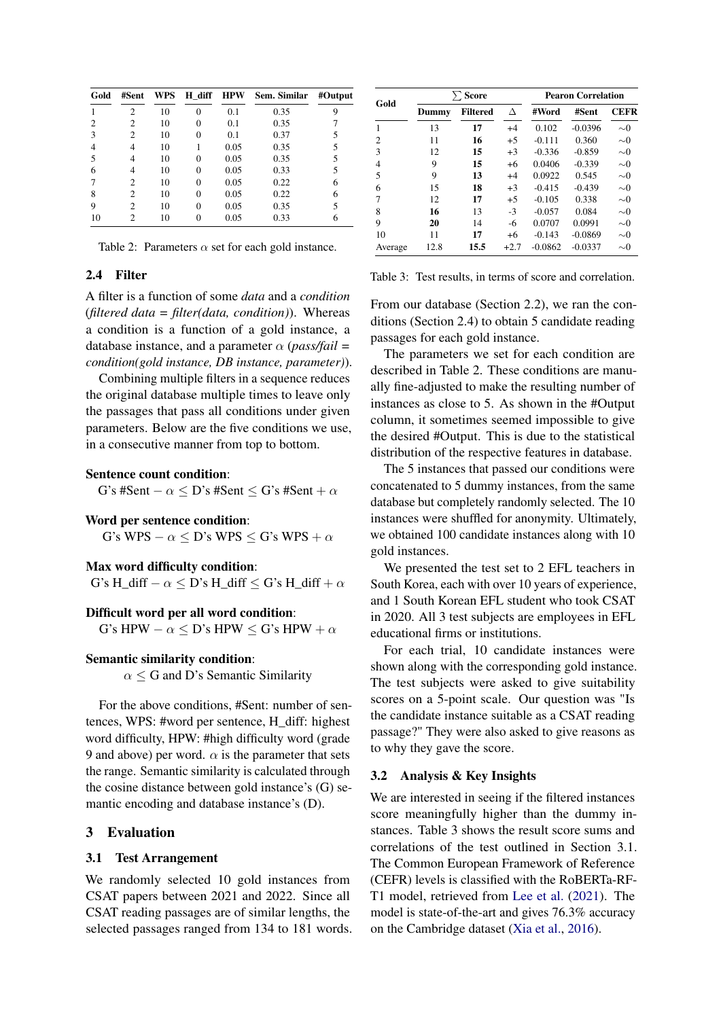| Gold | #Sent          | WPS | H diff | <b>HPW</b> | Sem. Similar | #Output |
|------|----------------|-----|--------|------------|--------------|---------|
|      | 2              | 10  | 0      | 0.1        | 0.35         | 9       |
| 2    | 2              | 10  | 0      | 0.1        | 0.35         |         |
| 3    | $\overline{c}$ | 10  | 0      | 0.1        | 0.37         | 5       |
|      | 4              | 10  |        | 0.05       | 0.35         | 5       |
| 5    | 4              | 10  | 0      | 0.05       | 0.35         | 5       |
| 6    | 4              | 10  | 0      | 0.05       | 0.33         | 5       |
|      | 2              | 10  | 0      | 0.05       | 0.22         | 6       |
| 8    | 2              | 10  | 0      | 0.05       | 0.22         | 6       |
| 9    | 2              | 10  | 0      | 0.05       | 0.35         | 5       |
| 10   | 2              | 10  | 0      | 0.05       | 0.33         | 6       |

Table 2: Parameters  $\alpha$  set for each gold instance.

### 2.4 Filter

A filter is a function of some *data* and a *condition* (*filtered data = filter(data, condition)*). Whereas a condition is a function of a gold instance, a database instance, and a parameter  $\alpha$  (*pass/fail* = *condition(gold instance, DB instance, parameter)*).

Combining multiple filters in a sequence reduces the original database multiple times to leave only the passages that pass all conditions under given parameters. Below are the five conditions we use, in a consecutive manner from top to bottom.

#### Sentence count condition:

G's #Sent –  $\alpha \leq D$ 's #Sent  $\leq G$ 's #Sent +  $\alpha$ 

#### Word per sentence condition:

G's WPS –  $\alpha$  < D's WPS < G's WPS +  $\alpha$ 

#### Max word difficulty condition:

G's H\_diff  $-\alpha \leq D$ 's H\_diff  $\leq G$ 's H\_diff  $+\alpha$ 

### Difficult word per all word condition:

G's HPW  $-\alpha \leq D$ 's HPW  $\leq G$ 's HPW  $+\alpha$ 

### Semantic similarity condition:

 $\alpha \leq G$  and D's Semantic Similarity

For the above conditions, #Sent: number of sentences, WPS: #word per sentence, H\_diff: highest word difficulty, HPW: #high difficulty word (grade 9 and above) per word.  $\alpha$  is the parameter that sets the range. Semantic similarity is calculated through the cosine distance between gold instance's (G) semantic encoding and database instance's (D).

### 3 Evaluation

#### 3.1 Test Arrangement

We randomly selected 10 gold instances from CSAT papers between 2021 and 2022. Since all CSAT reading passages are of similar lengths, the selected passages ranged from 134 to 181 words.

| Gold           | $\sum$ Score |          |        | <b>Pearon Correlation</b> |           |             |  |
|----------------|--------------|----------|--------|---------------------------|-----------|-------------|--|
|                | Dummy        | Filtered | Δ      | #Word                     | #Sent     | <b>CEFR</b> |  |
| 1              | 13           | 17       | $+4$   | 0.102                     | $-0.0396$ | $\sim \! 0$ |  |
| $\overline{2}$ | 11           | 16       | $+5$   | $-0.111$                  | 0.360     | $\sim \! 0$ |  |
| 3              | 12           | 15       | $+3$   | $-0.336$                  | $-0.859$  | $\sim \! 0$ |  |
| $\overline{4}$ | 9            | 15       | $+6$   | 0.0406                    | $-0.339$  | $\sim \! 0$ |  |
| .5             | 9            | 13       | $+4$   | 0.0922                    | 0.545     | $\sim \! 0$ |  |
| 6              | 15           | 18       | $+3$   | $-0.415$                  | $-0.439$  | $\sim \! 0$ |  |
| 7              | 12           | 17       | $+5$   | $-0.105$                  | 0.338     | $\sim \! 0$ |  |
| 8              | 16           | 13       | $-3$   | $-0.057$                  | 0.084     | $\sim \! 0$ |  |
| 9              | 20           | 14       | -6     | 0.0707                    | 0.0991    | $\sim \! 0$ |  |
| 10             | 11           | 17       | $+6$   | $-0.143$                  | $-0.0869$ | $\sim \! 0$ |  |
| Average        | 12.8         | 15.5     | $+2.7$ | $-0.0862$                 | $-0.0337$ | $\sim \! 0$ |  |

Table 3: Test results, in terms of score and correlation.

From our database (Section 2.2), we ran the conditions (Section 2.4) to obtain 5 candidate reading passages for each gold instance.

The parameters we set for each condition are described in Table 2. These conditions are manually fine-adjusted to make the resulting number of instances as close to 5. As shown in the #Output column, it sometimes seemed impossible to give the desired #Output. This is due to the statistical distribution of the respective features in database.

The 5 instances that passed our conditions were concatenated to 5 dummy instances, from the same database but completely randomly selected. The 10 instances were shuffled for anonymity. Ultimately, we obtained 100 candidate instances along with 10 gold instances.

We presented the test set to 2 EFL teachers in South Korea, each with over 10 years of experience, and 1 South Korean EFL student who took CSAT in 2020. All 3 test subjects are employees in EFL educational firms or institutions.

For each trial, 10 candidate instances were shown along with the corresponding gold instance. The test subjects were asked to give suitability scores on a 5-point scale. Our question was "Is the candidate instance suitable as a CSAT reading passage?" They were also asked to give reasons as to why they gave the score.

### 3.2 Analysis & Key Insights

We are interested in seeing if the filtered instances score meaningfully higher than the dummy instances. Table 3 shows the result score sums and correlations of the test outlined in Section 3.1. The Common European Framework of Reference (CEFR) levels is classified with the RoBERTa-RF-T1 model, retrieved from [Lee et al.](#page-4-12) [\(2021\)](#page-4-12). The model is state-of-the-art and gives 76.3% accuracy on the Cambridge dataset [\(Xia et al.,](#page-4-13) [2016\)](#page-4-13).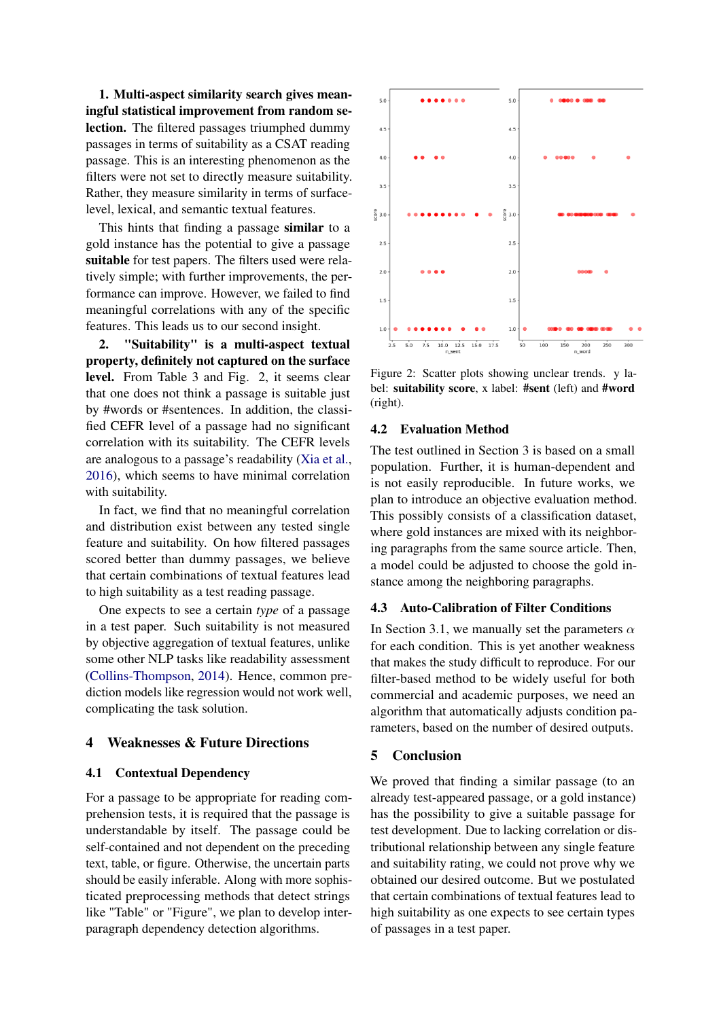1. Multi-aspect similarity search gives meaningful statistical improvement from random selection. The filtered passages triumphed dummy passages in terms of suitability as a CSAT reading passage. This is an interesting phenomenon as the filters were not set to directly measure suitability. Rather, they measure similarity in terms of surfacelevel, lexical, and semantic textual features.

This hints that finding a passage similar to a gold instance has the potential to give a passage suitable for test papers. The filters used were relatively simple; with further improvements, the performance can improve. However, we failed to find meaningful correlations with any of the specific features. This leads us to our second insight.

2. "Suitability" is a multi-aspect textual property, definitely not captured on the surface level. From Table 3 and Fig. 2, it seems clear that one does not think a passage is suitable just by #words or #sentences. In addition, the classified CEFR level of a passage had no significant correlation with its suitability. The CEFR levels are analogous to a passage's readability [\(Xia et al.,](#page-4-13) [2016\)](#page-4-13), which seems to have minimal correlation with suitability.

In fact, we find that no meaningful correlation and distribution exist between any tested single feature and suitability. On how filtered passages scored better than dummy passages, we believe that certain combinations of textual features lead to high suitability as a test reading passage.

One expects to see a certain *type* of a passage in a test paper. Such suitability is not measured by objective aggregation of textual features, unlike some other NLP tasks like readability assessment [\(Collins-Thompson,](#page-4-14) [2014\)](#page-4-14). Hence, common prediction models like regression would not work well, complicating the task solution.

# 4 Weaknesses & Future Directions

### 4.1 Contextual Dependency

For a passage to be appropriate for reading comprehension tests, it is required that the passage is understandable by itself. The passage could be self-contained and not dependent on the preceding text, table, or figure. Otherwise, the uncertain parts should be easily inferable. Along with more sophisticated preprocessing methods that detect strings like "Table" or "Figure", we plan to develop interparagraph dependency detection algorithms.



Figure 2: Scatter plots showing unclear trends. y label: suitability score, x label: #sent (left) and #word (right).

### 4.2 Evaluation Method

The test outlined in Section 3 is based on a small population. Further, it is human-dependent and is not easily reproducible. In future works, we plan to introduce an objective evaluation method. This possibly consists of a classification dataset, where gold instances are mixed with its neighboring paragraphs from the same source article. Then, a model could be adjusted to choose the gold instance among the neighboring paragraphs.

# 4.3 Auto-Calibration of Filter Conditions

In Section 3.1, we manually set the parameters  $\alpha$ for each condition. This is yet another weakness that makes the study difficult to reproduce. For our filter-based method to be widely useful for both commercial and academic purposes, we need an algorithm that automatically adjusts condition parameters, based on the number of desired outputs.

### 5 Conclusion

We proved that finding a similar passage (to an already test-appeared passage, or a gold instance) has the possibility to give a suitable passage for test development. Due to lacking correlation or distributional relationship between any single feature and suitability rating, we could not prove why we obtained our desired outcome. But we postulated that certain combinations of textual features lead to high suitability as one expects to see certain types of passages in a test paper.